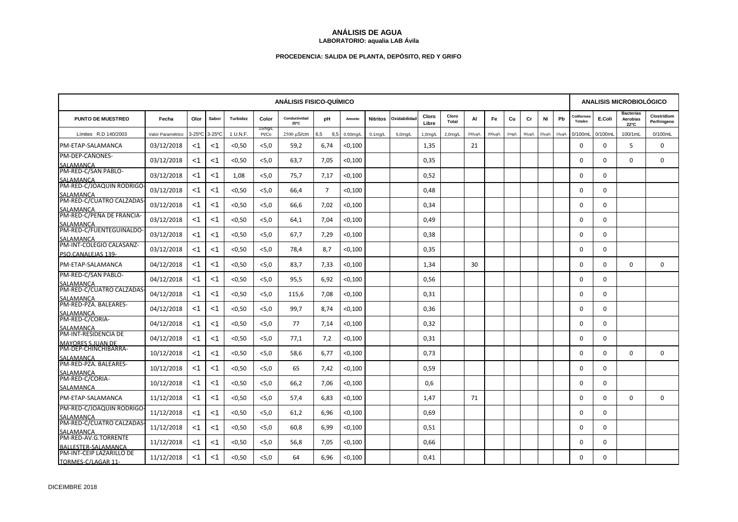## **ANÁLISIS DE AGUA LABORATORIO: aqualia LAB Ávila**

# **PROCEDENCIA: SALIDA DE PLANTA, DEPÓSITO, RED Y GRIFO**

|                                                                       | <b>ANÁLISIS FISICO-QUÍMICO</b> |                       |        |                 |                 |                       |                |             |                      |             |                |                |         |              |       | <b>ANALISIS MICROBIOLÓGICO</b> |        |             |                             |             |                                      |                            |
|-----------------------------------------------------------------------|--------------------------------|-----------------------|--------|-----------------|-----------------|-----------------------|----------------|-------------|----------------------|-------------|----------------|----------------|---------|--------------|-------|--------------------------------|--------|-------------|-----------------------------|-------------|--------------------------------------|----------------------------|
| <b>PUNTO DE MUESTREO</b>                                              | Fecha                          | Olor                  | Sabor  | <b>Turbidez</b> | Color           | Conductividad<br>25°C | pH             | Amonio      | <b>Nitritos</b>      | Oxidabilida | Cloro<br>Libre | Cloro<br>Total | AI      | Fe           | Cu    | Cr                             | Ni     | Pb          | Coliforme<br><b>Totales</b> | E.Coli      | <b>Bacterias</b><br>Aerobias<br>22°C | Clostridium<br>Perfringens |
| Límites R.D 140/2003                                                  | Valor Paramétrico              | $3-25$ <sup>o</sup> C | 3-25°C | 1 U.N.F.        | 15mg/L<br>Pt/Co | 2500 µS/cm            | 6.5<br>9.5     | $0.50$ mg/L | 0.1 <sub>m</sub> q/l | $5.0$ mg/L  | 1,0mg/L        | $2,0$ mg/L     | 200µg/L | $200\mu g/L$ | 2mg/L | $50\mu$ g/L                    | 20µg/L | $10\mu$ g/L | 0/100ml                     | 0/100mL     | 100/1mL                              | 0/100mL                    |
| PM-ETAP-SALAMANCA                                                     | 03/12/2018                     | <1                    | $<$ 1  | < 0.50          | < 5.0           | 59,2                  | 6,74           | < 0,100     |                      |             | 1,35           |                | 21      |              |       |                                |        |             | 0                           | 0           | 5                                    | $\Omega$                   |
| PM-DEP-CAÑONES-<br>SALAMANCA<br>PM-RED-C/SAN PABLO-                   | 03/12/2018                     | $<$ 1                 | $<$ 1  | < 0.50          | < 5, 0          | 63,7                  | 7,05           | $<$ 0,100   |                      |             | 0,35           |                |         |              |       |                                |        |             | 0                           | $\mathbf 0$ | $\Omega$                             | $\mathbf 0$                |
| SALAMANCA                                                             | 03/12/2018                     | $<$ 1                 | $<$ 1  | 1,08            | < 5.0           | 75,7                  | 7,17           | < 0,100     |                      |             | 0,52           |                |         |              |       |                                |        |             | 0                           | $\Omega$    |                                      |                            |
| PM-RED-C/JOAQUIN RODRIGO                                              | 03/12/2018                     | $<$ 1                 | ا>     | < 0.50          | < 5, 0          | 66,4                  | $\overline{7}$ | $<$ 0,100   |                      |             | 0,48           |                |         |              |       |                                |        |             | 0                           | $\mathbf 0$ |                                      |                            |
| SALAMANCA<br>PM-RED-C/CUATRO CALZADAS                                 | 03/12/2018                     | $<$ 1                 | <1     | < 0.50          | < 5.0           | 66,6                  | 7,02           | < 0,100     |                      |             | 0,34           |                |         |              |       |                                |        |             | $\Omega$                    | $\Omega$    |                                      |                            |
| SALAMANCA<br>PM-RED-C/PEÑA DE FRANCIA-                                | 03/12/2018                     | $<$ 1                 | <1     | < 0.50          | < 5.0           | 64,1                  | 7,04           | $<$ 0,100   |                      |             | 0,49           |                |         |              |       |                                |        |             | 0                           | 0           |                                      |                            |
| SALAMANCA<br>PM-RED-C/FUENTEGUINALDO<br>SALAMANCA                     | 03/12/2018                     | $<$ 1                 | <1     | < 0.50          | < 5, 0          | 67.7                  | 7,29           | < 0,100     |                      |             | 0,38           |                |         |              |       |                                |        |             | $\Omega$                    | $\Omega$    |                                      |                            |
| PM-INT-COLEGIO CALASANZ-<br>PSO.CANALEJAS 139-                        | 03/12/2018                     | $<$ 1                 | <1     | < 0.50          | < 5.0           | 78,4                  | 8,7            | $<$ 0,100   |                      |             | 0,35           |                |         |              |       |                                |        |             | $\Omega$                    | 0           |                                      |                            |
| PM-ETAP-SALAMANCA                                                     | 04/12/2018                     | $<$ 1                 | <1     | < 0.50          | < 5, 0          | 83,7                  | 7,33           | < 0,100     |                      |             | 1,34           |                | 30      |              |       |                                |        |             | 0                           | 0           | $\mathbf 0$                          | $\mathbf 0$                |
| PM-RED-C/SAN PABLO-<br>SALAMANCA                                      | 04/12/2018                     | <1                    | <1     | < 0.50          | < 5.0           | 95,5                  | 6,92           | $<$ 0,100   |                      |             | 0,56           |                |         |              |       |                                |        |             | 0                           | 0           |                                      |                            |
| PM-RED-C/CUATRO CALZADAS                                              | 04/12/2018                     | $<$ 1                 | ا>     | $0,50$          | < 5, 0          | 115,6                 | 7,08           | < 0,100     |                      |             | 0,31           |                |         |              |       |                                |        |             | 0                           | 0           |                                      |                            |
| SALAMANCA<br>PM-RED-PZA. BALEARES-<br>SALAMANCA                       | 04/12/2018                     | <1                    | <1     | < 0.50          | < 5.0           | 99,7                  | 8,74           | < 0,100     |                      |             | 0,36           |                |         |              |       |                                |        |             | $\Omega$                    | $\Omega$    |                                      |                            |
| PM-RED-C/CORIA-<br>SALAMANCA                                          | 04/12/2018                     | $<$ 1                 | ا>     | < 0, 50         | < 5, 0          | 77                    | 7,14           | < 0,100     |                      |             | 0,32           |                |         |              |       |                                |        |             | $\mathbf 0$                 | $\mathbf 0$ |                                      |                            |
| PM-INT-RESIDENCIA DE<br><b>MAYORES S.JUAN DE</b>                      | 04/12/2018                     | $<$ 1                 | ا>     | < 0.50          | $<$ 5,0         | 77,1                  | 7,2            | < 0,100     |                      |             | 0,31           |                |         |              |       |                                |        |             | $\Omega$                    | $\Omega$    |                                      |                            |
| PM-DEP-CHINCHIBARRA-                                                  | 10/12/2018                     | $<$ 1                 | ا>     | < 0, 50         | < 5, 0          | 58,6                  | 6,77           | $<$ 0,100   |                      |             | 0,73           |                |         |              |       |                                |        |             | 0                           | $\Omega$    | $\mathbf 0$                          | $\mathbf 0$                |
| SALAMANCA<br>PM-RED-PZA. BALEARES-                                    | 10/12/2018                     | $<$ 1                 | <1     | < 0.50          | <5,0            | 65                    | 7,42           | < 0,100     |                      |             | 0,59           |                |         |              |       |                                |        |             | $\Omega$                    | $\Omega$    |                                      |                            |
| SALAMANCA<br>PM-RED-C/CORIA-<br>SALAMANCA                             | 10/12/2018                     | $<$ 1                 | <1     | < 0.50          | < 5, 0          | 66,2                  | 7,06           | $<$ 0,100   |                      |             | 0,6            |                |         |              |       |                                |        |             | 0                           | 0           |                                      |                            |
| PM-ETAP-SALAMANCA                                                     | 11/12/2018                     | $<$ 1                 | <1     | < 0.50          | < 5, 0          | 57.4                  | 6,83           | < 0,100     |                      |             | 1,47           |                | 71      |              |       |                                |        |             | $\Omega$                    | $\Omega$    | $\Omega$                             | $\Omega$                   |
| PM-RED-C/JOAQUIN RODRIGO<br>SALAMANCA                                 | 11/12/2018                     | $<$ 1                 | <1     | < 0.50          | < 5, 0          | 61,2                  | 6,96           | $<$ 0,100   |                      |             | 0,69           |                |         |              |       |                                |        |             | 0                           | $\Omega$    |                                      |                            |
| PM-RED-C/CUATRO CALZADAS<br>SALAMANCA                                 | 11/12/2018                     | $<$ 1                 | <1     | < 0.50          | < 5.0           | 60,8                  | 6,99           | < 0,100     |                      |             | 0,51           |                |         |              |       |                                |        |             | $\Omega$                    | $\Omega$    |                                      |                            |
| PM-RED-AV.G.TORRENTE                                                  | 11/12/2018                     | <1                    | <1     | < 0.50          | < 5.0           | 56,8                  | 7,05           | < 0,100     |                      |             | 0,66           |                |         |              |       |                                |        |             | $\Omega$                    | $\Omega$    |                                      |                            |
| BALLESTER-SALAMANCA<br>PM-INT-CEIP LAZARILLO DE<br>TORMES-C/LAGAR 11- | 11/12/2018                     | <1                    | <1     | < 0.50          | $<$ 5,0         | 64                    | 6,96           | < 0,100     |                      |             | 0,41           |                |         |              |       |                                |        |             | $\Omega$                    | $\Omega$    |                                      |                            |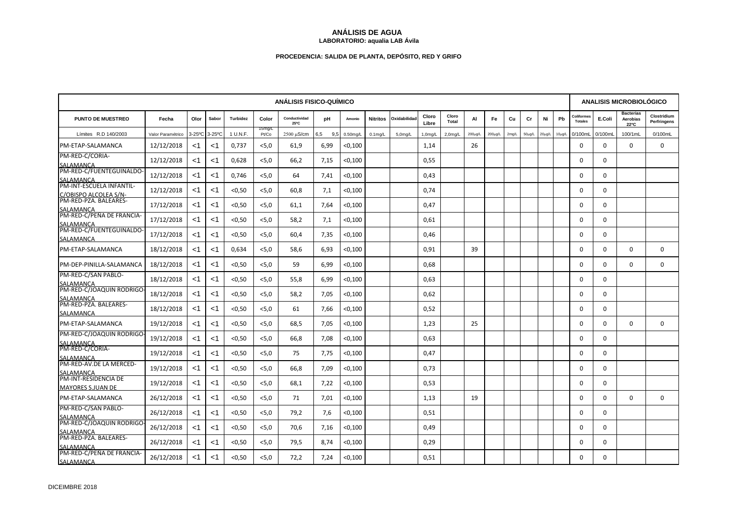## **ANÁLISIS DE AGUA LABORATORIO: aqualia LAB Ávila**

# **PROCEDENCIA: SALIDA DE PLANTA, DEPÓSITO, RED Y GRIFO**

|                                                                            | <b>ANÁLISIS FISICO-QUÍMICO</b> |                       |           |                 |                 |                       |            |             |                 |             |                |                      |         |              |       |             | <b>ANALISIS MICROBIOLÓGICO</b> |             |                             |             |                                      |                            |  |
|----------------------------------------------------------------------------|--------------------------------|-----------------------|-----------|-----------------|-----------------|-----------------------|------------|-------------|-----------------|-------------|----------------|----------------------|---------|--------------|-------|-------------|--------------------------------|-------------|-----------------------------|-------------|--------------------------------------|----------------------------|--|
| <b>PUNTO DE MUESTREO</b>                                                   | Fecha                          | Olor                  | Sabor     | <b>Turbidez</b> | Color           | Conductividad<br>25°C | рH         | Amonio      | <b>Nitritos</b> | Oxidabilida | Cloro<br>Libre | Cloro<br>Total       | AI      | Fe           | Cu    | Cr          | Ni                             | Pb          | Coliforme<br><b>Totales</b> | E.Coli      | <b>Bacterias</b><br>Aerobias<br>22°C | Clostridium<br>Perfringens |  |
| Límites R.D 140/2003                                                       | Valor Paramétrico              | $3-25$ <sup>o</sup> C | $3-25$ °C | 1 U.N.F.        | 15mg/L<br>Pt/Co | 2500 µS/cm            | 6,5<br>9.5 | $0.50$ mg/L | $0.1$ ma/L      | $5.0$ mg/L  | 1,0mg/L        | 2.0 <sub>m</sub> q/L | 200µg/L | $200\mu$ g/L | 2mg/L | $50\mu g/L$ | $20\mu$ g/L                    | $10\mu g/l$ | 0/100ml                     | 0/100mL     | 100/1mL                              | 0/100mL                    |  |
| PM-ETAP-SALAMANCA                                                          | 12/12/2018                     | <1                    | $<$ 1     | 0,737           | < 5.0           | 61,9                  | 6,99       | < 0,100     |                 |             | 1,14           |                      | 26      |              |       |             |                                |             | 0                           | $\Omega$    | $\mathbf 0$                          | $\Omega$                   |  |
| PM-RED-C/CORIA-<br>SALAMANCA<br>PM-RED-C/FUENTEGUINALDO                    | 12/12/2018                     | $<$ 1                 | <1        | 0,628           | < 5.0           | 66,2                  | 7,15       | < 0,100     |                 |             | 0,55           |                      |         |              |       |             |                                |             | 0                           | 0           |                                      |                            |  |
| SALAMANCA                                                                  | 12/12/2018                     | $<$ 1                 | <1        | 0.746           | < 5, 0          | 64                    | 7.41       | < 0,100     |                 |             | 0,43           |                      |         |              |       |             |                                |             | $\Omega$                    | $\Omega$    |                                      |                            |  |
| PM-INT-ESCUELA INFANTIL-<br>C/OBISPO ALCOLEA S/N-<br>PM-RED-PZA. BALEARES- | 12/12/2018                     | $<$ 1                 | ا>        | < 0.50          | < 5.0           | 60,8                  | 7,1        | < 0,100     |                 |             | 0,74           |                      |         |              |       |             |                                |             | $\Omega$                    | $\Omega$    |                                      |                            |  |
| SALAMANCA                                                                  | 17/12/2018                     | $<$ 1                 | <1        | < 0.50          | < 5, 0          | 61,1                  | 7,64       | < 0,100     |                 |             | 0,47           |                      |         |              |       |             |                                |             | $\mathbf 0$                 | $\mathbf 0$ |                                      |                            |  |
| PM-RED-C/PEÑA DE FRANCIA-                                                  | 17/12/2018                     | <1                    | $<$ 1     | < 0.50          | < 5.0           | 58,2                  | 7,1        | < 0,100     |                 |             | 0,61           |                      |         |              |       |             |                                |             | $\Omega$                    | $\Omega$    |                                      |                            |  |
| SALAMANCA<br>PM-RED-C/FUENTEGUINALDO<br>SALAMANCA                          | 17/12/2018                     | $<$ 1                 | ا>        | < 0.50          | $<$ 5,0         | 60,4                  | 7,35       | $<$ 0,100   |                 |             | 0,46           |                      |         |              |       |             |                                |             | 0                           | 0           |                                      |                            |  |
| PM-ETAP-SALAMANCA                                                          | 18/12/2018                     | $<$ 1                 | <1        | 0,634           | < 5.0           | 58,6                  | 6,93       | < 0,100     |                 |             | 0,91           |                      | 39      |              |       |             |                                |             | $\Omega$                    | $\Omega$    | $\Omega$                             | $\Omega$                   |  |
| PM-DEP-PINILLA-SALAMANCA                                                   | 18/12/2018                     | $<$ 1                 | <1        | < 0.50          | < 5, 0          | 59                    | 6,99       | $<$ 0,100   |                 |             | 0,68           |                      |         |              |       |             |                                |             | 0                           | 0           | $\mathbf 0$                          | $\mathbf 0$                |  |
| PM-RED-C/SAN PABLO-<br>SALAMANCA                                           | 18/12/2018                     | $<$ 1                 | <1        | < 0.50          | < 5.0           | 55.8                  | 6,99       | < 0,100     |                 |             | 0,63           |                      |         |              |       |             |                                |             | 0                           | $\Omega$    |                                      |                            |  |
| PM-RED-C/JOAQUIN RODRIGO<br>SALAMANCA                                      | 18/12/2018                     | $<$ 1                 | <1        | < 0.50          | < 5.0           | 58,2                  | 7,05       | $<$ 0,100   |                 |             | 0,62           |                      |         |              |       |             |                                |             | 0                           | 0           |                                      |                            |  |
| PM-RED-PZA. BALEARES-<br>SALAMANCA                                         | 18/12/2018                     | $<$ 1                 | ا>        | $0,50$          | < 5, 0          | 61                    | 7,66       | < 0,100     |                 |             | 0,52           |                      |         |              |       |             |                                |             | 0                           | 0           |                                      |                            |  |
| PM-ETAP-SALAMANCA                                                          | 19/12/2018                     | $<$ 1                 | <1        | < 0.50          | < 5, 0          | 68,5                  | 7,05       | < 0,100     |                 |             | 1,23           |                      | 25      |              |       |             |                                |             | $\Omega$                    | $\Omega$    | $\Omega$                             | $\Omega$                   |  |
| PM-RED-C/JOAQUIN RODRIGO                                                   | 19/12/2018                     | $<$ 1                 | ا>        | < 0.50          | <5,0            | 66,8                  | 7,08       | < 0,100     |                 |             | 0,63           |                      |         |              |       |             |                                |             | 0                           | $\Omega$    |                                      |                            |  |
| SALAMANCA<br>PM-RED-C/CORIA-<br>SALAMANCA                                  | 19/12/2018                     | $<$ 1                 | <1        | < 0.50          | <5,0            | 75                    | 7,75       | < 0,100     |                 |             | 0,47           |                      |         |              |       |             |                                |             | $\Omega$                    | $\Omega$    |                                      |                            |  |
| PM-RED-AV.DE LA MERCED-                                                    | 19/12/2018                     | $<$ 1                 | <1        | < 0.50          | $<$ 5,0         | 66,8                  | 7,09       | < 0,100     |                 |             | 0,73           |                      |         |              |       |             |                                |             | 0                           | 0           |                                      |                            |  |
| SALAMANCA<br>PM-INT-RESIDENCIA DE<br><b>MAYORES S.JUAN DE</b>              | 19/12/2018                     | $<$ 1                 | $<$ 1     | < 0, 50         | <5,0            | 68,1                  | 7,22       | < 0,100     |                 |             | 0,53           |                      |         |              |       |             |                                |             | $\mathbf 0$                 | $\Omega$    |                                      |                            |  |
| PM-ETAP-SALAMANCA                                                          | 26/12/2018                     | $<$ 1                 | <1        | < 0.50          | < 5, 0          | 71                    | 7.01       | $<$ 0,100   |                 |             | 1,13           |                      | 19      |              |       |             |                                |             | $\Omega$                    | $\Omega$    | $\Omega$                             | $\Omega$                   |  |
| PM-RED-C/SAN PABLO-<br>SALAMANCA                                           | 26/12/2018                     | $<$ 1                 | <1        | < 0.50          | < 5, 0          | 79,2                  | 7,6        | $<$ 0,100   |                 |             | 0,51           |                      |         |              |       |             |                                |             | 0                           | $\Omega$    |                                      |                            |  |
| PM-RED-C/JOAQUIN RODRIGO<br>SALAMANCA                                      | 26/12/2018                     | $<$ 1                 | <1        | < 0.50          | < 5.0           | 70,6                  | 7,16       | < 0,100     |                 |             | 0,49           |                      |         |              |       |             |                                |             | $\Omega$                    | $\Omega$    |                                      |                            |  |
| PM-RED-PZA. BALEARES-                                                      | 26/12/2018                     | <1                    | <1        | < 0.50          | < 5.0           | 79,5                  | 8,74       | < 0,100     |                 |             | 0,29           |                      |         |              |       |             |                                |             | $\Omega$                    | $\Omega$    |                                      |                            |  |
| SALAMANCA<br>PM-RED-C/PEÑA DE FRANCIA-<br>SALAMANCA                        | 26/12/2018                     | <1                    | <1        | < 0.50          | $<$ 5,0         | 72,2                  | 7,24       | < 0,100     |                 |             | 0,51           |                      |         |              |       |             |                                |             | $\Omega$                    | $\Omega$    |                                      |                            |  |